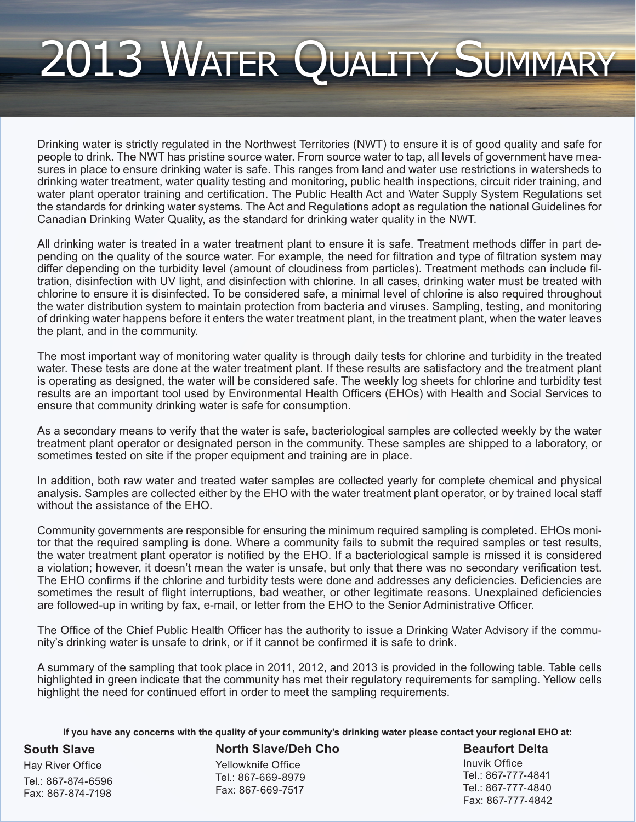## 2013 Water Quality Summary

Drinking water is strictly regulated in the Northwest Territories (NWT) to ensure it is of good quality and safe for people to drink. The NWT has pristine source water. From source water to tap, all levels of government have measures in place to ensure drinking water is safe. This ranges from land and water use restrictions in watersheds to drinking water treatment, water quality testing and monitoring, public health inspections, circuit rider training, and water plant operator training and certification. The Public Health Act and Water Supply System Regulations set the standards for drinking water systems. The Act and Regulations adopt as regulation the national Guidelines for Canadian Drinking Water Quality, as the standard for drinking water quality in the NWT.

All drinking water is treated in a water treatment plant to ensure it is safe. Treatment methods differ in part depending on the quality of the source water. For example, the need for filtration and type of filtration system may differ depending on the turbidity level (amount of cloudiness from particles). Treatment methods can include filtration, disinfection with UV light, and disinfection with chlorine. In all cases, drinking water must be treated with chlorine to ensure it is disinfected. To be considered safe, a minimal level of chlorine is also required throughout the water distribution system to maintain protection from bacteria and viruses. Sampling, testing, and monitoring of drinking water happens before it enters the water treatment plant, in the treatment plant, when the water leaves the plant, and in the community.

The most important way of monitoring water quality is through daily tests for chlorine and turbidity in the treated water. These tests are done at the water treatment plant. If these results are satisfactory and the treatment plant is operating as designed, the water will be considered safe. The weekly log sheets for chlorine and turbidity test results are an important tool used by Environmental Health Officers (EHOs) with Health and Social Services to ensure that community drinking water is safe for consumption.

As a secondary means to verify that the water is safe, bacteriological samples are collected weekly by the water treatment plant operator or designated person in the community. These samples are shipped to a laboratory, or sometimes tested on site if the proper equipment and training are in place.

In addition, both raw water and treated water samples are collected yearly for complete chemical and physical analysis. Samples are collected either by the EHO with the water treatment plant operator, or by trained local staff without the assistance of the EHO.

Community governments are responsible for ensuring the minimum required sampling is completed. EHOs monitor that the required sampling is done. Where a community fails to submit the required samples or test results, the water treatment plant operator is notified by the EHO. If a bacteriological sample is missed it is considered a violation; however, it doesn't mean the water is unsafe, but only that there was no secondary verification test. The EHO confirms if the chlorine and turbidity tests were done and addresses any deficiencies. Deficiencies are sometimes the result of flight interruptions, bad weather, or other legitimate reasons. Unexplained deficiencies are followed-up in writing by fax, e-mail, or letter from the EHO to the Senior Administrative Officer.

The Office of the Chief Public Health Officer has the authority to issue a Drinking Water Advisory if the community's drinking water is unsafe to drink, or if it cannot be confirmed it is safe to drink.

A summary of the sampling that took place in 2011, 2012, and 2013 is provided in the following table. Table cells highlighted in green indicate that the community has met their regulatory requirements for sampling. Yellow cells highlight the need for continued effort in order to meet the sampling requirements.

**If you have any concerns with the quality of your community's drinking water please contact your regional EHO at:** 

**South Slave**

Hay River Office Tel.: 867-874-6596 Fax: 867-874-7198

**North Slave/Deh Cho**

Yellowknife Office Tel.: 867-669-8979 Fax: 867-669-7517

**Beaufort Delta** Inuvik Office Tel.: 867-777-4841 Tel.: 867-777-4840 Fax: 867-777-4842